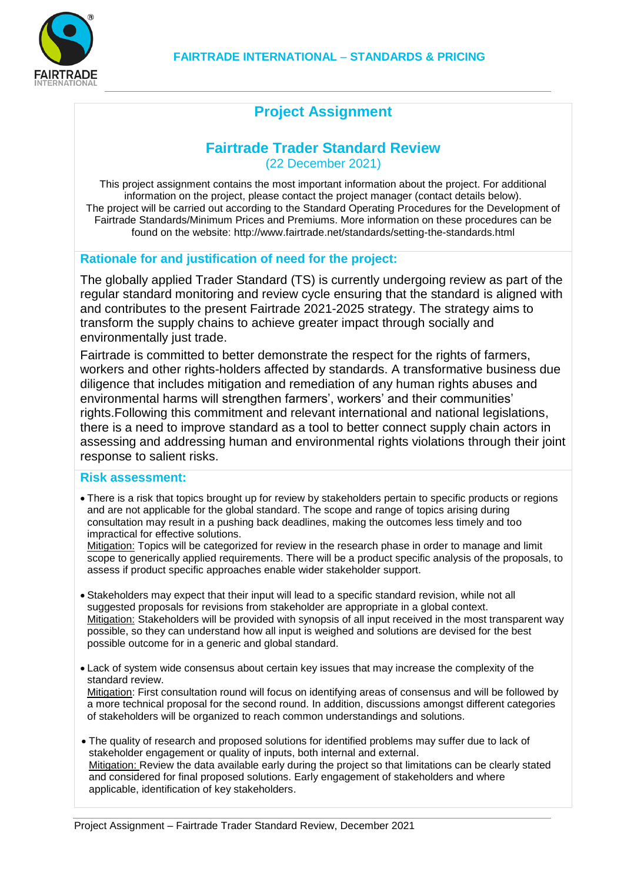

# **Project Assignment**

# **Fairtrade Trader Standard Review**

(22 December 2021)

This project assignment contains the most important information about the project. For additional information on the project, please contact the project manager (contact details below). The project will be carried out according to the Standard Operating Procedures for the Development of Fairtrade Standards/Minimum Prices and Premiums. More information on these procedures can be found on the website: http://www.fairtrade.net/standards/setting-the-standards.html

### **Rationale for and justification of need for the project:**

The globally applied Trader Standard (TS) is currently undergoing review as part of the regular standard monitoring and review cycle ensuring that the standard is aligned with and contributes to the present Fairtrade 2021-2025 strategy. The strategy aims to transform the supply chains to achieve greater impact through socially and environmentally just trade.

Fairtrade is committed to better demonstrate the respect for the rights of farmers, workers and other rights-holders affected by standards. A transformative business due diligence that includes mitigation and remediation of any human rights abuses and environmental harms will strengthen farmers', workers' and their communities' rights.Following this commitment and relevant international and national legislations, there is a need to improve standard as a tool to better connect supply chain actors in assessing and addressing human and environmental rights violations through their joint response to salient risks.

### **Risk assessment:**

 There is a risk that topics brought up for review by stakeholders pertain to specific products or regions and are not applicable for the global standard. The scope and range of topics arising during consultation may result in a pushing back deadlines, making the outcomes less timely and too impractical for effective solutions.

Mitigation: Topics will be categorized for review in the research phase in order to manage and limit scope to generically applied requirements. There will be a product specific analysis of the proposals, to assess if product specific approaches enable wider stakeholder support.

- Stakeholders may expect that their input will lead to a specific standard revision, while not all suggested proposals for revisions from stakeholder are appropriate in a global context. Mitigation: Stakeholders will be provided with synopsis of all input received in the most transparent way possible, so they can understand how all input is weighed and solutions are devised for the best possible outcome for in a generic and global standard.
- Lack of system wide consensus about certain key issues that may increase the complexity of the standard review.

Mitigation: First consultation round will focus on identifying areas of consensus and will be followed by a more technical proposal for the second round. In addition, discussions amongst different categories of stakeholders will be organized to reach common understandings and solutions.

• The quality of research and proposed solutions for identified problems may suffer due to lack of stakeholder engagement or quality of inputs, both internal and external. Mitigation: Review the data available early during the project so that limitations can be clearly stated and considered for final proposed solutions. Early engagement of stakeholders and where applicable, identification of key stakeholders.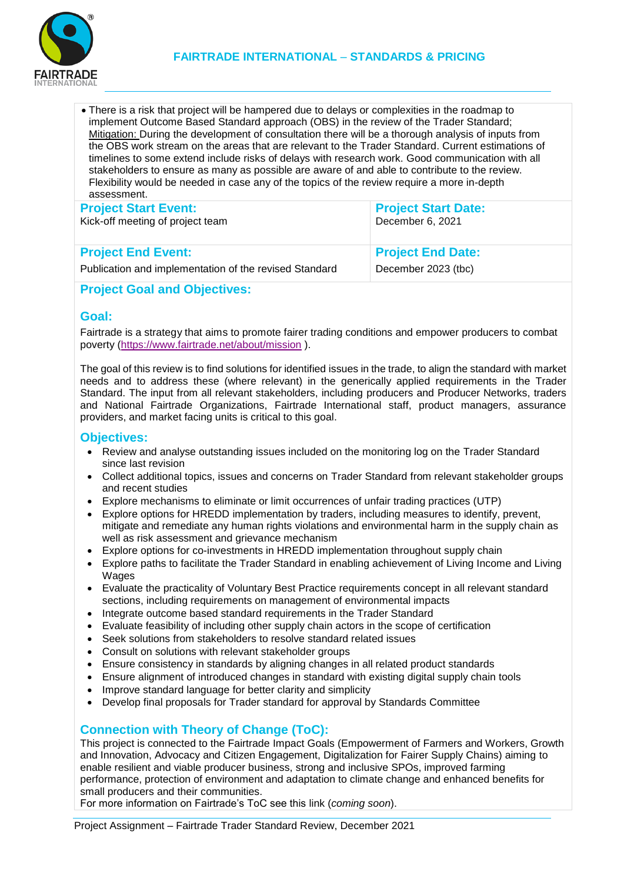

 There is a risk that project will be hampered due to delays or complexities in the roadmap to implement Outcome Based Standard approach (OBS) in the review of the Trader Standard; Mitigation: During the development of consultation there will be a thorough analysis of inputs from the OBS work stream on the areas that are relevant to the Trader Standard. Current estimations of timelines to some extend include risks of delays with research work. Good communication with all stakeholders to ensure as many as possible are aware of and able to contribute to the review. Flexibility would be needed in case any of the topics of the review require a more in-depth assessment.

| <b>Project Start Event:</b>                            | <b>Project Start Date:</b> |
|--------------------------------------------------------|----------------------------|
| Kick-off meeting of project team                       | December 6, 2021           |
| <b>Project End Event:</b>                              | <b>Project End Date:</b>   |
| Publication and implementation of the revised Standard | December 2023 (tbc)        |

#### **Project Goal and Objectives:**

#### **Goal:**

Fairtrade is a strategy that aims to promote fairer trading conditions and empower producers to combat poverty [\(https://www.fairtrade.net/about/mission](https://www.fairtrade.net/about/mission) ).

The goal of this review is to find solutions for identified issues in the trade, to align the standard with market needs and to address these (where relevant) in the generically applied requirements in the Trader Standard. The input from all relevant stakeholders, including producers and Producer Networks, traders and National Fairtrade Organizations, Fairtrade International staff, product managers, assurance providers, and market facing units is critical to this goal.

#### **Objectives:**

- Review and analyse outstanding issues included on the monitoring log on the Trader Standard since last revision
- Collect additional topics, issues and concerns on Trader Standard from relevant stakeholder groups and recent studies
- Explore mechanisms to eliminate or limit occurrences of unfair trading practices (UTP)
- Explore options for HREDD implementation by traders, including measures to identify, prevent, mitigate and remediate any human rights violations and environmental harm in the supply chain as well as risk assessment and grievance mechanism
- Explore options for co-investments in HREDD implementation throughout supply chain
- Explore paths to facilitate the Trader Standard in enabling achievement of Living Income and Living Wages
- Evaluate the practicality of Voluntary Best Practice requirements concept in all relevant standard sections, including requirements on management of environmental impacts
- Integrate outcome based standard requirements in the Trader Standard
- Evaluate feasibility of including other supply chain actors in the scope of certification
- Seek solutions from stakeholders to resolve standard related issues
- Consult on solutions with relevant stakeholder groups
- Ensure consistency in standards by aligning changes in all related product standards
- Ensure alignment of introduced changes in standard with existing digital supply chain tools
- Improve standard language for better clarity and simplicity
- Develop final proposals for Trader standard for approval by Standards Committee

## **Connection with Theory of Change (ToC):**

This project is connected to the Fairtrade Impact Goals (Empowerment of Farmers and Workers, Growth and Innovation, Advocacy and Citizen Engagement, Digitalization for Fairer Supply Chains) aiming to enable resilient and viable producer business, strong and inclusive SPOs, improved farming performance, protection of environment and adaptation to climate change and enhanced benefits for small producers and their communities.

For more information on Fairtrade's ToC see this link (*coming soon*).